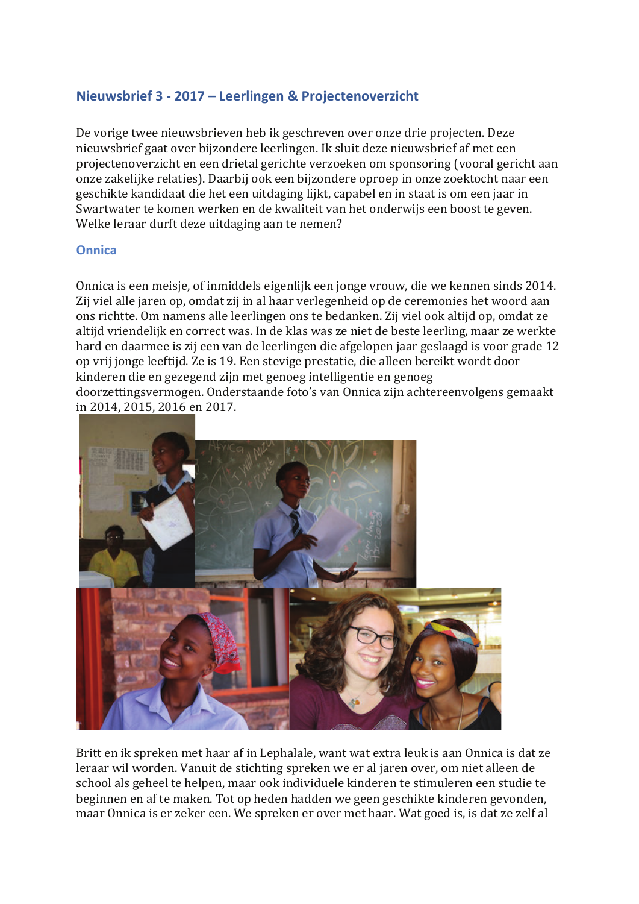# Nieuwsbrief 3 - 2017 - Leerlingen & Projectenoverzicht

De vorige twee nieuwsbrieven heb ik geschreven over onze drie projecten. Deze nieuwsbrief gaat over bijzondere leerlingen. Ik sluit deze nieuwsbrief af met een projectenoverzicht en een drietal gerichte verzoeken om sponsoring (vooral gericht aan onze zakelijke relaties). Daarbij ook een bijzondere oproep in onze zoektocht naar een geschikte kandidaat die het een uitdaging lijkt, capabel en in staat is om een jaar in Swartwater te komen werken en de kwaliteit van het onderwijs een boost te geven. Welke leraar durft deze uitdaging aan te nemen?

### **Onnica**

Onnica is een meisje, of inmiddels eigenlijk een jonge vrouw, die we kennen sinds 2014. Zij viel alle jaren op, omdat zij in al haar verlegenheid op de ceremonies het woord aan ons richtte. Om namens alle leerlingen ons te bedanken. Zij viel ook altijd op, omdat ze altijd vriendelijk en correct was. In de klas was ze niet de beste leerling, maar ze werkte hard en daarmee is zij een van de leerlingen die afgelopen jaar geslaagd is voor grade 12 op vrij jonge leeftijd. Ze is 19. Een stevige prestatie, die alleen bereikt wordt door kinderen die en gezegend zijn met genoeg intelligentie en genoeg doorzettingsvermogen. Onderstaande foto's van Onnica zijn achtereenvolgens gemaakt in 2014, 2015, 2016 en 2017.



Britt en ik spreken met haar af in Lephalale, want wat extra leuk is aan Onnica is dat ze leraar wil worden. Vanuit de stichting spreken we er al jaren over, om niet alleen de school als geheel te helpen, maar ook individuele kinderen te stimuleren een studie te beginnen en af te maken. Tot op heden hadden we geen geschikte kinderen gevonden, maar Onnica is er zeker een. We spreken er over met haar. Wat goed is, is dat ze zelf al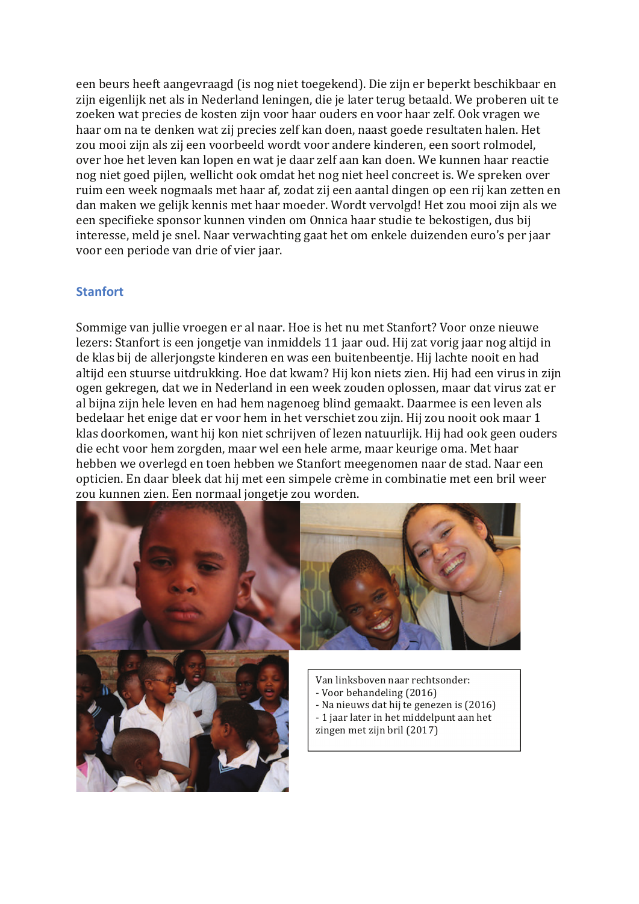een beurs heeft aangevraagd (is nog niet toegekend). Die zijn er beperkt beschikbaar en zijn eigenlijk net als in Nederland leningen, die je later terug betaald. We proberen uit te zoeken wat precies de kosten zijn voor haar ouders en voor haar zelf. Ook vragen we haar om na te denken wat zij precies zelf kan doen, naast goede resultaten halen. Het zou mooi zijn als zij een voorbeeld wordt voor andere kinderen, een soort rolmodel, over hoe het leven kan lopen en wat je daar zelf aan kan doen. We kunnen haar reactie nog niet goed pijlen, wellicht ook omdat het nog niet heel concreet is. We spreken over ruim een week nogmaals met haar af, zodat zij een aantal dingen op een rij kan zetten en dan maken we gelijk kennis met haar moeder. Wordt vervolgd! Het zou mooi zijn als we een specifieke sponsor kunnen vinden om Onnica haar studie te bekostigen, dus bij interesse, meld je snel. Naar verwachting gaat het om enkele duizenden euro's per jaar voor een periode van drie of vier jaar.

### **Stanfort**

Sommige van jullie vroegen er al naar. Hoe is het nu met Stanfort? Voor onze nieuwe lezers: Stanfort is een jongetje van inmiddels 11 jaar oud. Hij zat vorig jaar nog altijd in de klas bij de allerjongste kinderen en was een buitenbeentje. Hij lachte nooit en had altijd een stuurse uitdrukking. Hoe dat kwam? Hij kon niets zien. Hij had een virus in zijn ogen gekregen, dat we in Nederland in een week zouden oplossen, maar dat virus zat er al bijna zijn hele leven en had hem nagenoeg blind gemaakt. Daarmee is een leven als bedelaar het enige dat er voor hem in het verschiet zou zijn. Hij zou nooit ook maar 1 klas doorkomen, want hij kon niet schrijven of lezen natuurlijk. Hij had ook geen ouders die echt voor hem zorgden, maar wel een hele arme, maar keurige oma. Met haar hebben we overlegd en toen hebben we Stanfort meegenomen naar de stad. Naar een opticien. En daar bleek dat hij met een simpele crème in combinatie met een bril weer zou kunnen zien. Een normaal jongetje zou worden.

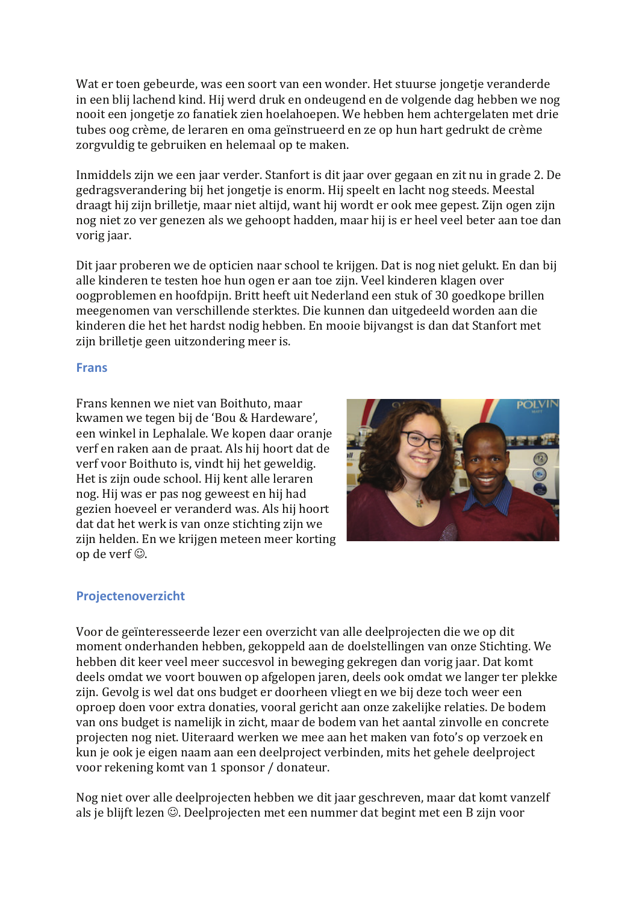Wat er toen gebeurde, was een soort van een wonder. Het stuurse jongetje veranderde in een blij lachend kind. Hij werd druk en ondeugend en de volgende dag hebben we nog nooit een jongetie zo fanatiek zien hoelahoepen. We hebben hem achtergelaten met drie tubes oog crème, de leraren en oma geïnstrueerd en ze op hun hart gedrukt de crème zorgyuldig te gebruiken en helemaal op te maken.

Inmiddels zijn we een jaar verder. Stanfort is dit jaar over gegaan en zit nu in grade 2. De gedragsverandering bij het jongetje is enorm. Hij speelt en lacht nog steeds. Meestal draagt hij zijn brilletje, maar niet altijd, want hij wordt er ook mee gepest. Zijn ogen zijn nog niet zo ver genezen als we gehoopt hadden, maar hij is er heel veel beter aan toe dan vorig jaar.

Dit jaar proberen we de opticien naar school te krijgen. Dat is nog niet gelukt. En dan bij alle kinderen te testen hoe hun ogen er aan toe zijn. Veel kinderen klagen over oogproblemen en hoofdpijn. Britt heeft uit Nederland een stuk of 30 goedkope brillen meegenomen van verschillende sterktes. Die kunnen dan uitgedeeld worden aan die kinderen die het het hardst nodig hebben. En mooie bijvangst is dan dat Stanfort met zijn brilletje geen uitzondering meer is.

## **Frans**

Frans kennen we niet van Boithuto, maar kwamen we tegen bij de 'Bou & Hardeware', een winkel in Lephalale. We kopen daar oranje verf en raken aan de praat. Als hij hoort dat de verf voor Boithuto is, vindt hij het geweldig. Het is zijn oude school. Hij kent alle leraren nog. Hij was er pas nog geweest en hij had gezien hoeveel er veranderd was. Als hij hoort dat dat het werk is van onze stichting zijn we zijn helden. En we krijgen meteen meer korting op de verf  $\odot$ .



## Projectenoverzicht

Voor de geïnteresseerde lezer een overzicht van alle deelprojecten die we op dit moment onderhanden hebben, gekoppeld aan de doelstellingen van onze Stichting. We hebben dit keer veel meer succesvol in beweging gekregen dan vorig jaar. Dat komt deels omdat we voort bouwen op afgelopen jaren, deels ook omdat we langer ter plekke zijn. Gevolg is wel dat ons budget er doorheen vliegt en we bij deze toch weer een oproep doen voor extra donaties, vooral gericht aan onze zakelijke relaties. De bodem van ons budget is namelijk in zicht, maar de bodem van het aantal zinvolle en concrete projecten nog niet. Uiteraard werken we mee aan het maken van foto's op verzoek en kun je ook je eigen naam aan een deelproject verbinden, mits het gehele deelproject voor rekening komt van 1 sponsor / donateur.

Nog niet over alle deelprojecten hebben we dit jaar geschreven, maar dat komt vanzelf als je blijft lezen ©. Deelprojecten met een nummer dat begint met een B zijn voor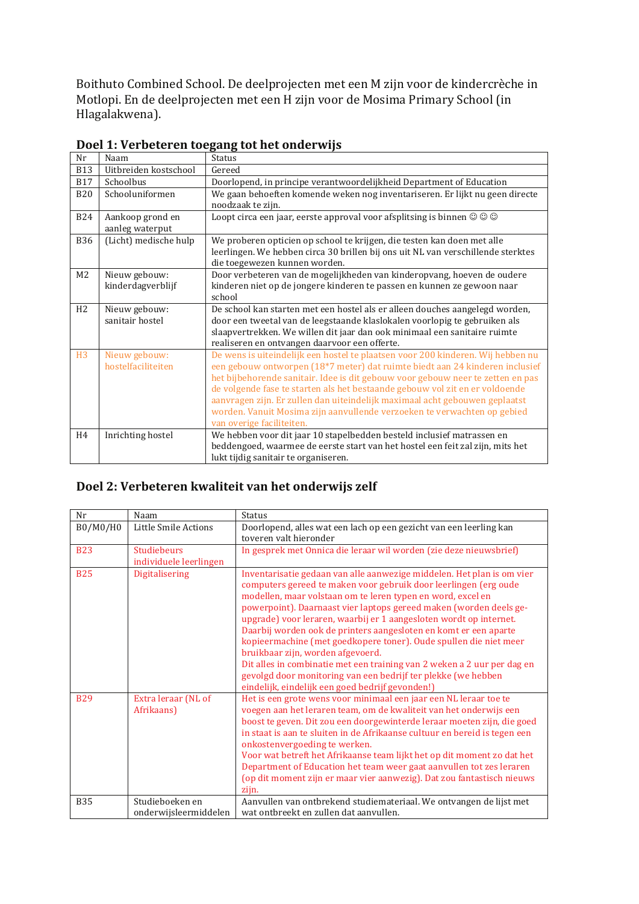Boithuto Combined School. De deelprojecten met een M zijn voor de kindercrèche in Motlopi. En de deelprojecten met een H zijn voor de Mosima Primary School (in Hlagalakwena).

| Nr             | Naam                                | <b>Status</b>                                                                                                                                                                                                                                                                                                                                                                                                                                                                                                              |
|----------------|-------------------------------------|----------------------------------------------------------------------------------------------------------------------------------------------------------------------------------------------------------------------------------------------------------------------------------------------------------------------------------------------------------------------------------------------------------------------------------------------------------------------------------------------------------------------------|
| <b>B13</b>     | Uitbreiden kostschool               | Gereed                                                                                                                                                                                                                                                                                                                                                                                                                                                                                                                     |
| <b>B17</b>     | Schoolbus                           | Doorlopend, in principe verantwoordelijkheid Department of Education                                                                                                                                                                                                                                                                                                                                                                                                                                                       |
| <b>B20</b>     | Schooluniformen                     | We gaan behoeften komende weken nog inventariseren. Er lijkt nu geen directe<br>noodzaak te zijn.                                                                                                                                                                                                                                                                                                                                                                                                                          |
| <b>B24</b>     | Aankoop grond en<br>aanleg waterput | Loopt circa een jaar, eerste approval voor afsplitsing is binnen $\textcircled{}\otimes \textcircled{}$                                                                                                                                                                                                                                                                                                                                                                                                                    |
| <b>B36</b>     | (Licht) medische hulp               | We proberen opticien op school te krijgen, die testen kan doen met alle<br>leerlingen. We hebben circa 30 brillen bij ons uit NL van verschillende sterktes<br>die toegewezen kunnen worden.                                                                                                                                                                                                                                                                                                                               |
| M <sub>2</sub> | Nieuw gebouw:<br>kinderdagverblijf  | Door verbeteren van de mogelijkheden van kinderopvang, hoeven de oudere<br>kinderen niet op de jongere kinderen te passen en kunnen ze gewoon naar<br>school                                                                                                                                                                                                                                                                                                                                                               |
| H <sub>2</sub> | Nieuw gebouw:<br>sanitair hostel    | De school kan starten met een hostel als er alleen douches aangelegd worden,<br>door een tweetal van de leegstaande klaslokalen voorlopig te gebruiken als<br>slaapvertrekken. We willen dit jaar dan ook minimaal een sanitaire ruimte<br>realiseren en ontvangen daarvoor een offerte.                                                                                                                                                                                                                                   |
| H3             | Nieuw gebouw:<br>hostelfaciliteiten | De wens is uiteindelijk een hostel te plaatsen voor 200 kinderen. Wij hebben nu<br>een gebouw ontworpen (18*7 meter) dat ruimte biedt aan 24 kinderen inclusief<br>het bijbehorende sanitair. Idee is dit gebouw voor gebouw neer te zetten en pas<br>de volgende fase te starten als het bestaande gebouw vol zit en er voldoende<br>aanvragen zijn. Er zullen dan uiteindelijk maximaal acht gebouwen geplaatst<br>worden. Vanuit Mosima zijn aanvullende verzoeken te verwachten op gebied<br>van overige faciliteiten. |
| H <sub>4</sub> | Inrichting hostel                   | We hebben voor dit jaar 10 stapelbedden besteld inclusief matrassen en<br>beddengoed, waarmee de eerste start van het hostel een feit zal zijn, mits het<br>lukt tijdig sanitair te organiseren.                                                                                                                                                                                                                                                                                                                           |

| Doel 1: Verbeteren toegang tot het onderwijs |
|----------------------------------------------|
|----------------------------------------------|

## Doel 2: Verbeteren kwaliteit van het onderwijs zelf

| Nr         | Naam                                     | <b>Status</b>                                                                                                                                                                                                                                                                                                                                                                                                                                                                                                                                                                                                                                                                                                                       |
|------------|------------------------------------------|-------------------------------------------------------------------------------------------------------------------------------------------------------------------------------------------------------------------------------------------------------------------------------------------------------------------------------------------------------------------------------------------------------------------------------------------------------------------------------------------------------------------------------------------------------------------------------------------------------------------------------------------------------------------------------------------------------------------------------------|
| B0/M0/H0   | Little Smile Actions                     | Doorlopend, alles wat een lach op een gezicht van een leerling kan                                                                                                                                                                                                                                                                                                                                                                                                                                                                                                                                                                                                                                                                  |
|            |                                          | toveren valt hieronder                                                                                                                                                                                                                                                                                                                                                                                                                                                                                                                                                                                                                                                                                                              |
| <b>B23</b> | <b>Studiebeurs</b>                       | In gesprek met Onnica die leraar wil worden (zie deze nieuwsbrief)                                                                                                                                                                                                                                                                                                                                                                                                                                                                                                                                                                                                                                                                  |
|            | individuele leerlingen                   |                                                                                                                                                                                                                                                                                                                                                                                                                                                                                                                                                                                                                                                                                                                                     |
| <b>B25</b> | Digitalisering                           | Inventarisatie gedaan van alle aanwezige middelen. Het plan is om vier<br>computers gereed te maken voor gebruik door leerlingen (erg oude<br>modellen, maar volstaan om te leren typen en word, excel en<br>powerpoint). Daarnaast vier laptops gereed maken (worden deels ge-<br>upgrade) voor leraren, waarbij er 1 aangesloten wordt op internet.<br>Daarbij worden ook de printers aangesloten en komt er een aparte<br>kopieermachine (met goedkopere toner). Oude spullen die niet meer<br>bruikbaar zijn, worden afgevoerd.<br>Dit alles in combinatie met een training van 2 weken a 2 uur per dag en<br>gevolgd door monitoring van een bedrijf ter plekke (we hebben<br>eindelijk, eindelijk een goed bedrijf gevonden!) |
| <b>B29</b> | Extra leraar (NL of<br>Afrikaans)        | Het is een grote wens voor minimaal een jaar een NL leraar toe te<br>voegen aan het leraren team, om de kwaliteit van het onderwijs een<br>boost te geven. Dit zou een doorgewinterde leraar moeten zijn, die goed<br>in staat is aan te sluiten in de Afrikaanse cultuur en bereid is tegen een<br>onkostenvergoeding te werken.<br>Voor wat betreft het Afrikaanse team lijkt het op dit moment zo dat het<br>Department of Education het team weer gaat aanvullen tot zes leraren<br>(op dit moment zijn er maar vier aanwezig). Dat zou fantastisch nieuws<br>zijn.                                                                                                                                                             |
| <b>B35</b> | Studieboeken en<br>onderwijsleermiddelen | Aanvullen van ontbrekend studiemateriaal. We ontvangen de lijst met<br>wat ontbreekt en zullen dat aanvullen.                                                                                                                                                                                                                                                                                                                                                                                                                                                                                                                                                                                                                       |